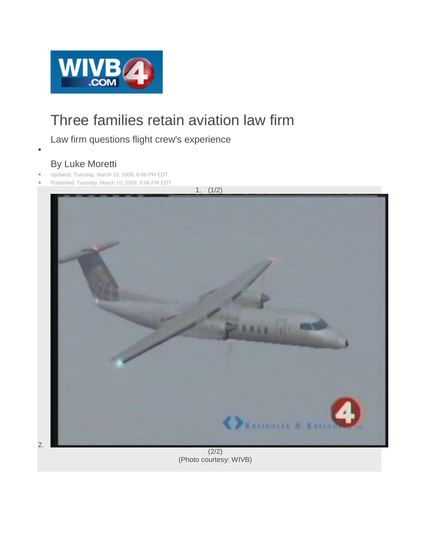

## Three families retain aviation law firm

## Law firm questions flight crew's experience

 $\bullet$ 

2.

## By Luke Moretti

- Updated: Tuesday, March 10, 2009, 8:06 PM EDT
- Published: Tuesday, March 10, 2009, 8:06 PM EDT



 $(2/2)$ (Photo courtesy: WIVB)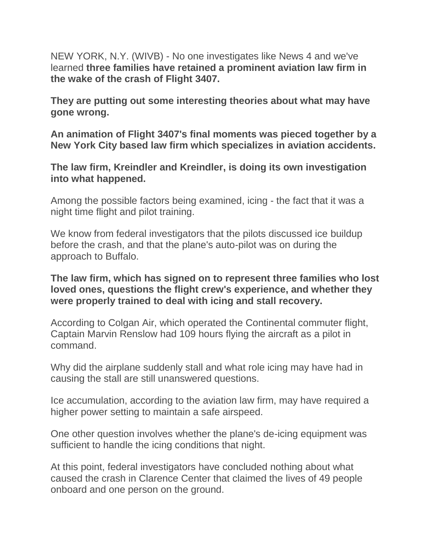NEW YORK, N.Y. (WIVB) - No one investigates like News 4 and we've learned **three families have retained a prominent aviation law firm in the wake of the crash of Flight 3407.**

**They are putting out some interesting theories about what may have gone wrong.**

**An animation of Flight 3407's final moments was pieced together by a New York City based law firm which specializes in aviation accidents.**

**The law firm, Kreindler and Kreindler, is doing its own investigation into what happened.**

Among the possible factors being examined, icing - the fact that it was a night time flight and pilot training.

We know from federal investigators that the pilots discussed ice buildup before the crash, and that the plane's auto-pilot was on during the approach to Buffalo.

## **The law firm, which has signed on to represent three families who lost loved ones, questions the flight crew's experience, and whether they were properly trained to deal with icing and stall recovery.**

According to Colgan Air, which operated the Continental commuter flight, Captain Marvin Renslow had 109 hours flying the aircraft as a pilot in command.

Why did the airplane suddenly stall and what role icing may have had in causing the stall are still unanswered questions.

Ice accumulation, according to the aviation law firm, may have required a higher power setting to maintain a safe airspeed.

One other question involves whether the plane's de-icing equipment was sufficient to handle the icing conditions that night.

At this point, federal investigators have concluded nothing about what caused the crash in Clarence Center that claimed the lives of 49 people onboard and one person on the ground.